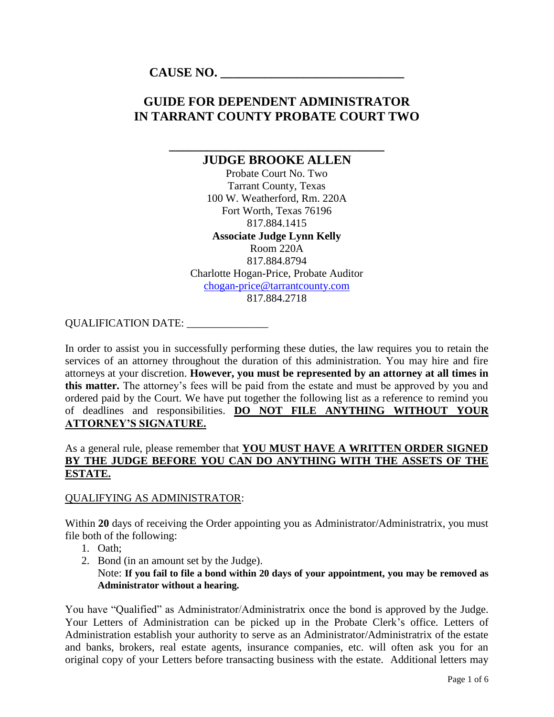**CAUSE NO. \_\_\_\_\_\_\_\_\_\_\_\_\_\_\_\_\_\_\_\_\_\_\_\_\_\_\_\_\_**

# **GUIDE FOR DEPENDENT ADMINISTRATOR IN TARRANT COUNTY PROBATE COURT TWO**

# **\_\_\_\_\_\_\_\_\_\_\_\_\_\_\_\_\_\_\_\_\_\_\_\_\_\_\_\_\_\_\_\_\_\_ JUDGE BROOKE ALLEN**

Probate Court No. Two Tarrant County, Texas 100 W. Weatherford, Rm. 220A Fort Worth, Texas 76196 817.884.1415 **Associate Judge Lynn Kelly**

Room 220A 817.884.8794 Charlotte Hogan-Price, Probate Auditor [chogan-price@tarrantcounty.com](mailto:chogan-price@tarrantcounty.com)  817.884.2718

#### QUALIFICATION DATE: \_\_\_\_\_\_\_\_\_\_\_\_\_\_\_\_

In order to assist you in successfully performing these duties, the law requires you to retain the services of an attorney throughout the duration of this administration. You may hire and fire attorneys at your discretion. **However, you must be represented by an attorney at all times in this matter.** The attorney's fees will be paid from the estate and must be approved by you and ordered paid by the Court. We have put together the following list as a reference to remind you of deadlines and responsibilities. **DO NOT FILE ANYTHING WITHOUT YOUR ATTORNEY'S SIGNATURE.**

#### As a general rule, please remember that **YOU MUST HAVE A WRITTEN ORDER SIGNED BY THE JUDGE BEFORE YOU CAN DO ANYTHING WITH THE ASSETS OF THE ESTATE.**

#### QUALIFYING AS ADMINISTRATOR:

Within 20 days of receiving the Order appointing you as Administrator/Administratrix, you must file both of the following:

- 1. Oath;
- 2. Bond (in an amount set by the Judge).

#### Note: **If you fail to file a bond within 20 days of your appointment, you may be removed as Administrator without a hearing.**

You have "Qualified" as Administrator/Administratrix once the bond is approved by the Judge. Your Letters of Administration can be picked up in the Probate Clerk's office. Letters of Administration establish your authority to serve as an Administrator/Administratrix of the estate and banks, brokers, real estate agents, insurance companies, etc. will often ask you for an original copy of your Letters before transacting business with the estate. Additional letters may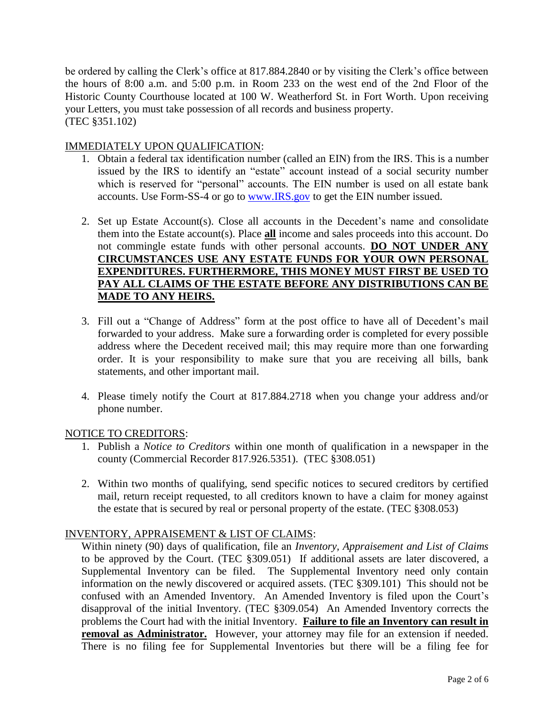be ordered by calling the Clerk's office at 817.884.2840 or by visiting the Clerk's office between the hours of 8:00 a.m. and 5:00 p.m. in Room 233 on the west end of the 2nd Floor of the Historic County Courthouse located at 100 W. Weatherford St. in Fort Worth. Upon receiving your Letters, you must take possession of all records and business property. (TEC §351.102)

#### IMMEDIATELY UPON QUALIFICATION:

- 1. Obtain a federal tax identification number (called an EIN) from the IRS. This is a number issued by the IRS to identify an "estate" account instead of a social security number which is reserved for "personal" accounts. The EIN number is used on all estate bank accounts. Use Form-SS-4 or go to [www.IRS.gov](http://www.irs.gov/) to get the EIN number issued.
- 2. Set up Estate Account(s). Close all accounts in the Decedent's name and consolidate them into the Estate account(s). Place **all** income and sales proceeds into this account. Do not commingle estate funds with other personal accounts. **DO NOT UNDER ANY CIRCUMSTANCES USE ANY ESTATE FUNDS FOR YOUR OWN PERSONAL EXPENDITURES. FURTHERMORE, THIS MONEY MUST FIRST BE USED TO PAY ALL CLAIMS OF THE ESTATE BEFORE ANY DISTRIBUTIONS CAN BE MADE TO ANY HEIRS.**
- 3. Fill out a "Change of Address" form at the post office to have all of Decedent's mail forwarded to your address. Make sure a forwarding order is completed for every possible address where the Decedent received mail; this may require more than one forwarding order. It is your responsibility to make sure that you are receiving all bills, bank statements, and other important mail.
- 4. Please timely notify the Court at 817.884.2718 when you change your address and/or phone number.

#### NOTICE TO CREDITORS:

- 1. Publish a *Notice to Creditors* within one month of qualification in a newspaper in the county (Commercial Recorder 817.926.5351). (TEC §308.051)
- 2. Within two months of qualifying, send specific notices to secured creditors by certified mail, return receipt requested, to all creditors known to have a claim for money against the estate that is secured by real or personal property of the estate. (TEC §308.053)

#### INVENTORY, APPRAISEMENT & LIST OF CLAIMS:

Within ninety (90) days of qualification, file an *Inventory, Appraisement and List of Claims* to be approved by the Court. (TEC §309.051) If additional assets are later discovered, a Supplemental Inventory can be filed. The Supplemental Inventory need only contain information on the newly discovered or acquired assets. (TEC §309.101) This should not be confused with an Amended Inventory. An Amended Inventory is filed upon the Court's disapproval of the initial Inventory. (TEC §309.054) An Amended Inventory corrects the problems the Court had with the initial Inventory. **Failure to file an Inventory can result in removal as Administrator.** However, your attorney may file for an extension if needed. There is no filing fee for Supplemental Inventories but there will be a filing fee for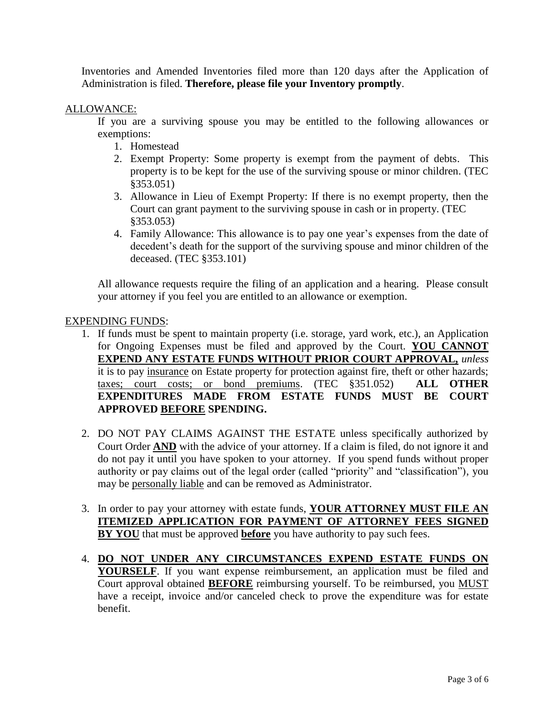Inventories and Amended Inventories filed more than 120 days after the Application of Administration is filed. **Therefore, please file your Inventory promptly**.

#### ALLOWANCE:

If you are a surviving spouse you may be entitled to the following allowances or exemptions:

- 1. Homestead
- 2. Exempt Property: Some property is exempt from the payment of debts. This property is to be kept for the use of the surviving spouse or minor children. (TEC §353.051)
- 3. Allowance in Lieu of Exempt Property: If there is no exempt property, then the Court can grant payment to the surviving spouse in cash or in property. (TEC §353.053)
- 4. Family Allowance: This allowance is to pay one year's expenses from the date of decedent's death for the support of the surviving spouse and minor children of the deceased. (TEC §353.101)

All allowance requests require the filing of an application and a hearing. Please consult your attorney if you feel you are entitled to an allowance or exemption.

#### EXPENDING FUNDS:

- 1. If funds must be spent to maintain property (i.e. storage, yard work, etc.), an Application for Ongoing Expenses must be filed and approved by the Court. **YOU CANNOT EXPEND ANY ESTATE FUNDS WITHOUT PRIOR COURT APPROVAL,** *unless* it is to pay insurance on Estate property for protection against fire, theft or other hazards; taxes; court costs; or bond premiums. (TEC §351.052) **ALL OTHER EXPENDITURES MADE FROM ESTATE FUNDS MUST BE COURT APPROVED BEFORE SPENDING.**
- 2. DO NOT PAY CLAIMS AGAINST THE ESTATE unless specifically authorized by Court Order **AND** with the advice of your attorney. If a claim is filed, do not ignore it and do not pay it until you have spoken to your attorney. If you spend funds without proper authority or pay claims out of the legal order (called "priority" and "classification"), you may be personally liable and can be removed as Administrator.
- 3. In order to pay your attorney with estate funds, **YOUR ATTORNEY MUST FILE AN ITEMIZED APPLICATION FOR PAYMENT OF ATTORNEY FEES SIGNED BY YOU** that must be approved **before** you have authority to pay such fees.
- 4. **DO NOT UNDER ANY CIRCUMSTANCES EXPEND ESTATE FUNDS ON YOURSELF**. If you want expense reimbursement, an application must be filed and Court approval obtained **BEFORE** reimbursing yourself. To be reimbursed, you MUST have a receipt, invoice and/or canceled check to prove the expenditure was for estate benefit.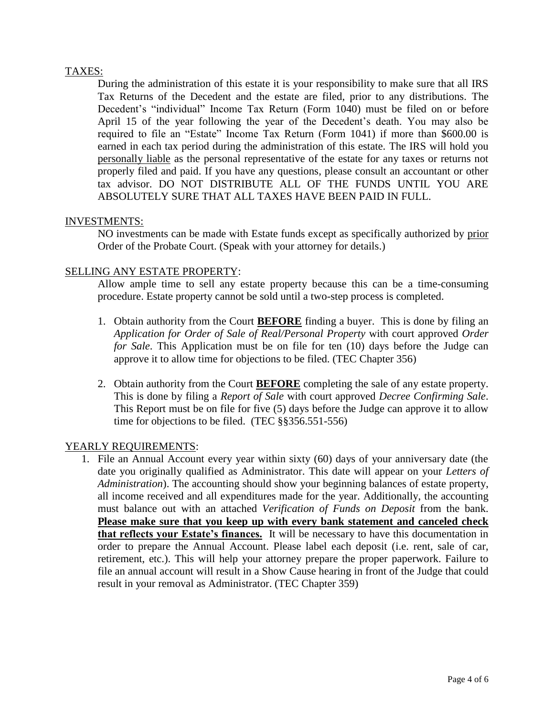#### TAXES:

During the administration of this estate it is your responsibility to make sure that all IRS Tax Returns of the Decedent and the estate are filed, prior to any distributions. The Decedent's "individual" Income Tax Return (Form 1040) must be filed on or before April 15 of the year following the year of the Decedent's death. You may also be required to file an "Estate" Income Tax Return (Form 1041) if more than \$600.00 is earned in each tax period during the administration of this estate. The IRS will hold you personally liable as the personal representative of the estate for any taxes or returns not properly filed and paid. If you have any questions, please consult an accountant or other tax advisor. DO NOT DISTRIBUTE ALL OF THE FUNDS UNTIL YOU ARE ABSOLUTELY SURE THAT ALL TAXES HAVE BEEN PAID IN FULL.

#### INVESTMENTS:

NO investments can be made with Estate funds except as specifically authorized by prior Order of the Probate Court. (Speak with your attorney for details.)

#### SELLING ANY ESTATE PROPERTY:

Allow ample time to sell any estate property because this can be a time-consuming procedure. Estate property cannot be sold until a two-step process is completed.

- 1. Obtain authority from the Court **BEFORE** finding a buyer. This is done by filing an *Application for Order of Sale of Real/Personal Property* with court approved *Order for Sale*. This Application must be on file for ten (10) days before the Judge can approve it to allow time for objections to be filed. (TEC Chapter 356)
- 2. Obtain authority from the Court **BEFORE** completing the sale of any estate property. This is done by filing a *Report of Sale* with court approved *Decree Confirming Sale*. This Report must be on file for five (5) days before the Judge can approve it to allow time for objections to be filed. (TEC §§356.551-556)

#### YEARLY REQUIREMENTS:

1. File an Annual Account every year within sixty (60) days of your anniversary date (the date you originally qualified as Administrator. This date will appear on your *Letters of Administration*). The accounting should show your beginning balances of estate property, all income received and all expenditures made for the year. Additionally, the accounting must balance out with an attached *Verification of Funds on Deposit* from the bank. **Please make sure that you keep up with every bank statement and canceled check that reflects your Estate's finances.** It will be necessary to have this documentation in order to prepare the Annual Account. Please label each deposit (i.e. rent, sale of car, retirement, etc.). This will help your attorney prepare the proper paperwork. Failure to file an annual account will result in a Show Cause hearing in front of the Judge that could result in your removal as Administrator. (TEC Chapter 359)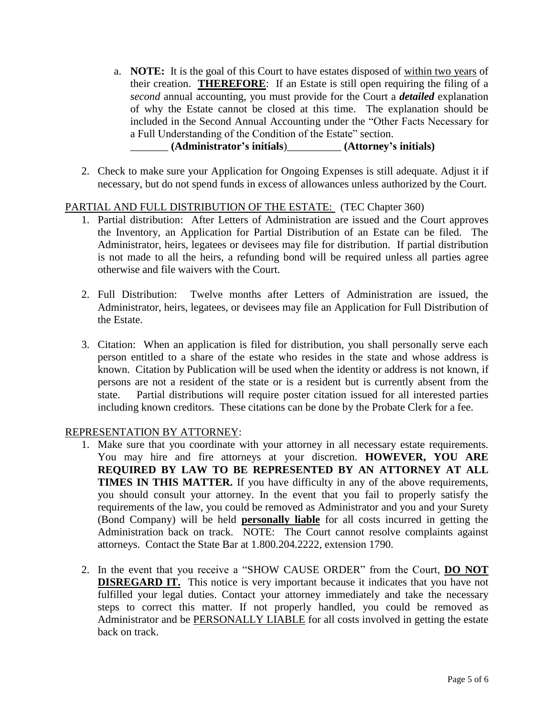a. **NOTE:** It is the goal of this Court to have estates disposed of within two years of their creation. **THEREFORE**: If an Estate is still open requiring the filing of a *second* annual accounting, you must provide for the Court a *detailed* explanation of why the Estate cannot be closed at this time. The explanation should be included in the Second Annual Accounting under the "Other Facts Necessary for a Full Understanding of the Condition of the Estate" section.

## \_\_\_\_\_\_\_ **(Administrator's initials**)\_\_\_\_\_\_\_\_\_\_ **(Attorney's initials)**

2. Check to make sure your Application for Ongoing Expenses is still adequate. Adjust it if necessary, but do not spend funds in excess of allowances unless authorized by the Court.

#### PARTIAL AND FULL DISTRIBUTION OF THE ESTATE: (TEC Chapter 360)

- 1. Partial distribution: After Letters of Administration are issued and the Court approves the Inventory, an Application for Partial Distribution of an Estate can be filed. The Administrator, heirs, legatees or devisees may file for distribution. If partial distribution is not made to all the heirs, a refunding bond will be required unless all parties agree otherwise and file waivers with the Court.
- 2. Full Distribution: Twelve months after Letters of Administration are issued, the Administrator, heirs, legatees, or devisees may file an Application for Full Distribution of the Estate.
- 3. Citation: When an application is filed for distribution, you shall personally serve each person entitled to a share of the estate who resides in the state and whose address is known. Citation by Publication will be used when the identity or address is not known, if persons are not a resident of the state or is a resident but is currently absent from the state. Partial distributions will require poster citation issued for all interested parties including known creditors. These citations can be done by the Probate Clerk for a fee.

#### REPRESENTATION BY ATTORNEY:

- 1. Make sure that you coordinate with your attorney in all necessary estate requirements. You may hire and fire attorneys at your discretion. **HOWEVER, YOU ARE REQUIRED BY LAW TO BE REPRESENTED BY AN ATTORNEY AT ALL TIMES IN THIS MATTER.** If you have difficulty in any of the above requirements, you should consult your attorney. In the event that you fail to properly satisfy the requirements of the law, you could be removed as Administrator and you and your Surety (Bond Company) will be held **personally liable** for all costs incurred in getting the Administration back on track. NOTE: The Court cannot resolve complaints against attorneys. Contact the State Bar at 1.800.204.2222, extension 1790.
- 2. In the event that you receive a "SHOW CAUSE ORDER" from the Court, **DO NOT DISREGARD IT.** This notice is very important because it indicates that you have not fulfilled your legal duties. Contact your attorney immediately and take the necessary steps to correct this matter. If not properly handled, you could be removed as Administrator and be PERSONALLY LIABLE for all costs involved in getting the estate back on track.